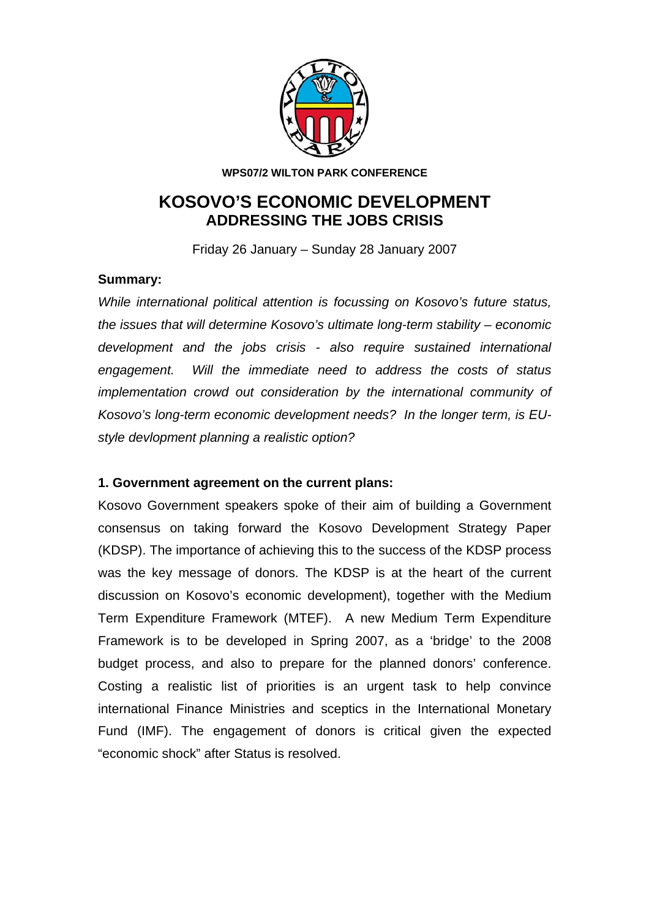

**WPS07/2 WILTON PARK CONFERENCE** 

# **KOSOVO'S ECONOMIC DEVELOPMENT ADDRESSING THE JOBS CRISIS**

Friday 26 January – Sunday 28 January 2007

### **Summary:**

*While international political attention is focussing on Kosovo's future status, the issues that will determine Kosovo's ultimate long-term stability – economic development and the jobs crisis - also require sustained international engagement. Will the immediate need to address the costs of status implementation crowd out consideration by the international community of Kosovo's long-term economic development needs? In the longer term, is EUstyle devlopment planning a realistic option?* 

### **1. Government agreement on the current plans:**

Kosovo Government speakers spoke of their aim of building a Government consensus on taking forward the Kosovo Development Strategy Paper (KDSP). The importance of achieving this to the success of the KDSP process was the key message of donors. The KDSP is at the heart of the current discussion on Kosovo's economic development), together with the Medium Term Expenditure Framework (MTEF). A new Medium Term Expenditure Framework is to be developed in Spring 2007, as a 'bridge' to the 2008 budget process, and also to prepare for the planned donors' conference. Costing a realistic list of priorities is an urgent task to help convince international Finance Ministries and sceptics in the International Monetary Fund (IMF). The engagement of donors is critical given the expected "economic shock" after Status is resolved.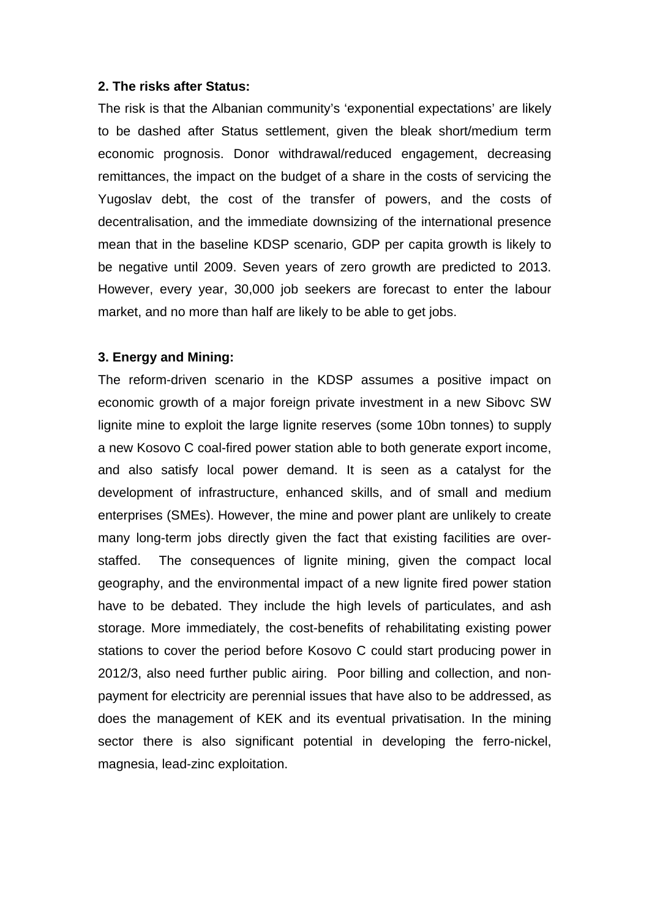### **2. The risks after Status:**

The risk is that the Albanian community's 'exponential expectations' are likely to be dashed after Status settlement, given the bleak short/medium term economic prognosis. Donor withdrawal/reduced engagement, decreasing remittances, the impact on the budget of a share in the costs of servicing the Yugoslav debt, the cost of the transfer of powers, and the costs of decentralisation, and the immediate downsizing of the international presence mean that in the baseline KDSP scenario, GDP per capita growth is likely to be negative until 2009. Seven years of zero growth are predicted to 2013. However, every year, 30,000 job seekers are forecast to enter the labour market, and no more than half are likely to be able to get jobs.

### **3. Energy and Mining:**

The reform-driven scenario in the KDSP assumes a positive impact on economic growth of a major foreign private investment in a new Sibovc SW lignite mine to exploit the large lignite reserves (some 10bn tonnes) to supply a new Kosovo C coal-fired power station able to both generate export income, and also satisfy local power demand. It is seen as a catalyst for the development of infrastructure, enhanced skills, and of small and medium enterprises (SMEs). However, the mine and power plant are unlikely to create many long-term jobs directly given the fact that existing facilities are overstaffed. The consequences of lignite mining, given the compact local geography, and the environmental impact of a new lignite fired power station have to be debated. They include the high levels of particulates, and ash storage. More immediately, the cost-benefits of rehabilitating existing power stations to cover the period before Kosovo C could start producing power in 2012/3, also need further public airing. Poor billing and collection, and nonpayment for electricity are perennial issues that have also to be addressed, as does the management of KEK and its eventual privatisation. In the mining sector there is also significant potential in developing the ferro-nickel, magnesia, lead-zinc exploitation.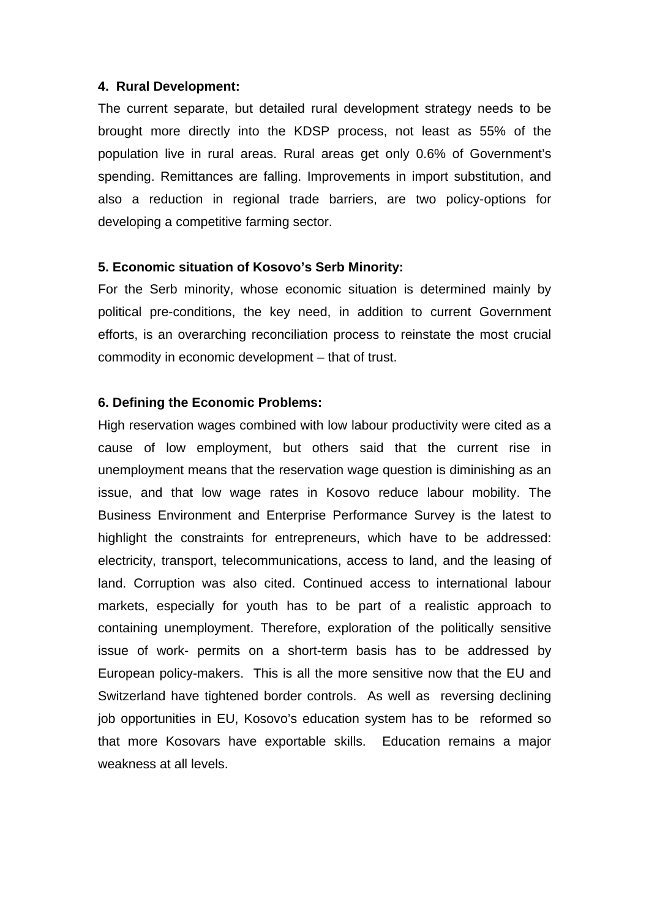### **4. Rural Development:**

The current separate, but detailed rural development strategy needs to be brought more directly into the KDSP process, not least as 55% of the population live in rural areas. Rural areas get only 0.6% of Government's spending. Remittances are falling. Improvements in import substitution, and also a reduction in regional trade barriers, are two policy-options for developing a competitive farming sector.

### **5. Economic situation of Kosovo's Serb Minority:**

For the Serb minority, whose economic situation is determined mainly by political pre-conditions, the key need, in addition to current Government efforts, is an overarching reconciliation process to reinstate the most crucial commodity in economic development – that of trust.

### **6. Defining the Economic Problems:**

High reservation wages combined with low labour productivity were cited as a cause of low employment, but others said that the current rise in unemployment means that the reservation wage question is diminishing as an issue, and that low wage rates in Kosovo reduce labour mobility. The Business Environment and Enterprise Performance Survey is the latest to highlight the constraints for entrepreneurs, which have to be addressed: electricity, transport, telecommunications, access to land, and the leasing of land. Corruption was also cited. Continued access to international labour markets, especially for youth has to be part of a realistic approach to containing unemployment. Therefore, exploration of the politically sensitive issue of work- permits on a short-term basis has to be addressed by European policy-makers. This is all the more sensitive now that the EU and Switzerland have tightened border controls. As well as reversing declining job opportunities in EU, Kosovo's education system has to be reformed so that more Kosovars have exportable skills. Education remains a major weakness at all levels.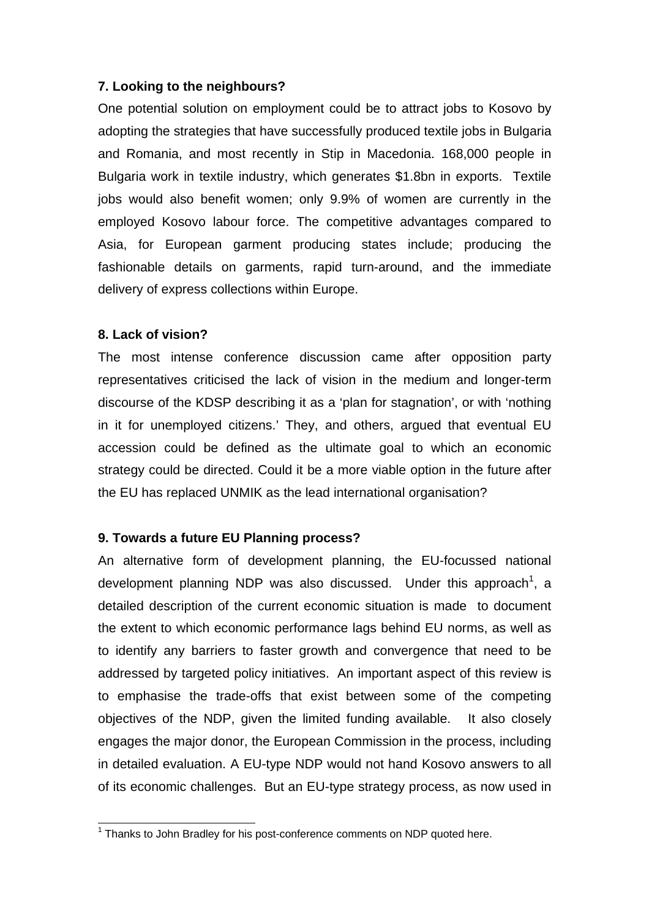### **7. Looking to the neighbours?**

One potential solution on employment could be to attract jobs to Kosovo by adopting the strategies that have successfully produced textile jobs in Bulgaria and Romania, and most recently in Stip in Macedonia. 168,000 people in Bulgaria work in textile industry, which generates \$1.8bn in exports. Textile jobs would also benefit women; only 9.9% of women are currently in the employed Kosovo labour force. The competitive advantages compared to Asia, for European garment producing states include; producing the fashionable details on garments, rapid turn-around, and the immediate delivery of express collections within Europe.

## **8. Lack of vision?**

The most intense conference discussion came after opposition party representatives criticised the lack of vision in the medium and longer-term discourse of the KDSP describing it as a 'plan for stagnation', or with 'nothing in it for unemployed citizens.' They, and others, argued that eventual EU accession could be defined as the ultimate goal to which an economic strategy could be directed. Could it be a more viable option in the future after the EU has replaced UNMIK as the lead international organisation?

# **9. Towards a future EU Planning process?**

An alternative form of development planning, the EU-focussed national development planning NDP was also discussed. Under this approach<sup>[1](#page-3-0)</sup>, a detailed description of the current economic situation is made to document the extent to which economic performance lags behind EU norms, as well as to identify any barriers to faster growth and convergence that need to be addressed by targeted policy initiatives. An important aspect of this review is to emphasise the trade-offs that exist between some of the competing objectives of the NDP, given the limited funding available. It also closely engages the major donor, the European Commission in the process, including in detailed evaluation. A EU-type NDP would not hand Kosovo answers to all of its economic challenges. But an EU-type strategy process, as now used in

<span id="page-3-0"></span> 1 Thanks to John Bradley for his post-conference comments on NDP quoted here.